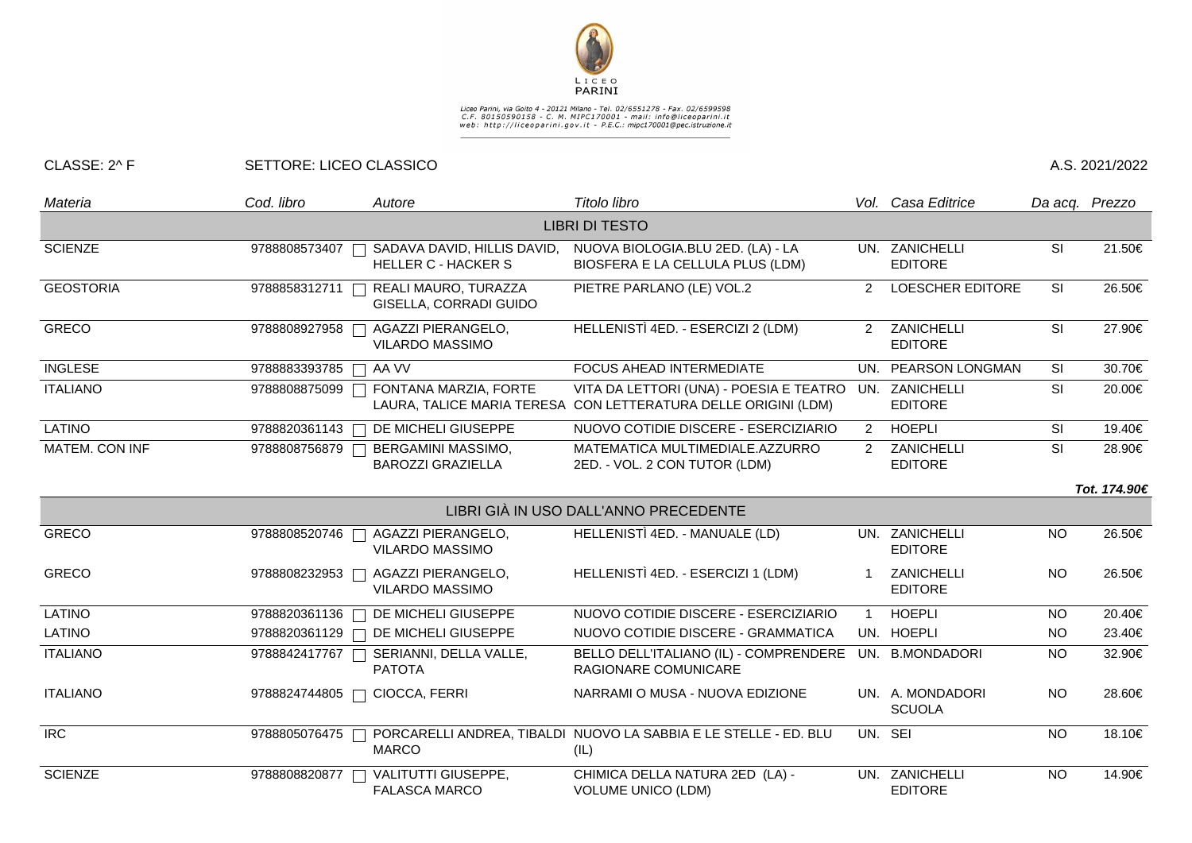

## Liceo Parini, via Goito 4 - 20121 Milano - Tel. 02/6551278 - Fax. 02/6599598<br>C.F. 80150590158 - C. M. MIPC170001 - mail: info@liceoparini.it<br>web: http://liceoparini.gov.it - P.E.C.: mipc170001@pec.istruzione.it

## CLASSE: 2^ F SETTORE: LICEO CLASSICO A.S. 2021/2022

| Materia               | Cod. libro              | Autore                                                                     | Titolo libro                                                                                              |                | Vol. Casa Editrice                | Da acq. Prezzo |              |  |  |  |  |
|-----------------------|-------------------------|----------------------------------------------------------------------------|-----------------------------------------------------------------------------------------------------------|----------------|-----------------------------------|----------------|--------------|--|--|--|--|
| <b>LIBRI DI TESTO</b> |                         |                                                                            |                                                                                                           |                |                                   |                |              |  |  |  |  |
| <b>SCIENZE</b>        | 9788808573407           | SADAVA DAVID, HILLIS DAVID,<br><b>HELLER C - HACKER S</b>                  | NUOVA BIOLOGIA.BLU 2ED. (LA) - LA<br>BIOSFERA E LA CELLULA PLUS (LDM)                                     |                | UN. ZANICHELLI<br><b>EDITORE</b>  | <b>SI</b>      | 21.50€       |  |  |  |  |
| <b>GEOSTORIA</b>      | 9788858312711           | REALI MAURO, TURAZZA<br>GISELLA, CORRADI GUIDO                             | PIETRE PARLANO (LE) VOL.2                                                                                 | 2              | <b>LOESCHER EDITORE</b>           | SI             | 26.50€       |  |  |  |  |
| <b>GRECO</b>          | 9788808927958           | AGAZZI PIERANGELO,<br>VILARDO MASSIMO                                      | HELLENISTÌ 4ED. - ESERCIZI 2 (LDM)                                                                        | 2              | ZANICHELLI<br><b>EDITORE</b>      | <b>SI</b>      | 27.90€       |  |  |  |  |
| <b>INGLESE</b>        | 9788883393785           | AA VV<br>٦                                                                 | FOCUS AHEAD INTERMEDIATE                                                                                  |                | UN. PEARSON LONGMAN               | <b>SI</b>      | 30.70€       |  |  |  |  |
| <b>ITALIANO</b>       | 9788808875099           | FONTANA MARZIA, FORTE                                                      | VITA DA LETTORI (UNA) - POESIA E TEATRO<br>LAURA, TALICE MARIA TERESA CON LETTERATURA DELLE ORIGINI (LDM) |                | UN. ZANICHELLI<br><b>EDITORE</b>  | SI             | 20.00€       |  |  |  |  |
| <b>LATINO</b>         | 9788820361143           | DE MICHELI GIUSEPPE                                                        | NUOVO COTIDIE DISCERE - ESERCIZIARIO                                                                      | $\overline{2}$ | <b>HOEPLI</b>                     | <b>SI</b>      | 19.40€       |  |  |  |  |
| MATEM. CON INF        | 9788808756879 [         | BERGAMINI MASSIMO,<br>$\overline{\phantom{0}}$<br><b>BAROZZI GRAZIELLA</b> | MATEMATICA MULTIMEDIALE.AZZURRO<br>2ED. - VOL. 2 CON TUTOR (LDM)                                          |                | 2 ZANICHELLI<br><b>EDITORE</b>    | <b>SI</b>      | 28.90€       |  |  |  |  |
|                       |                         |                                                                            |                                                                                                           |                |                                   |                | Tot. 174.90€ |  |  |  |  |
|                       |                         |                                                                            | LIBRI GIÀ IN USO DALL'ANNO PRECEDENTE                                                                     |                |                                   |                |              |  |  |  |  |
| <b>GRECO</b>          | 9788808520746           | <b>AGAZZI PIERANGELO,</b><br><b>VILARDO MASSIMO</b>                        | HELLENISTÌ 4ED. - MANUALE (LD)                                                                            |                | UN. ZANICHELLI<br><b>EDITORE</b>  | <b>NO</b>      | 26.50€       |  |  |  |  |
| <b>GRECO</b>          | 9788808232953           | AGAZZI PIERANGELO,<br><b>VILARDO MASSIMO</b>                               | HELLENISTÌ 4ED. - ESERCIZI 1 (LDM)                                                                        |                | ZANICHELLI<br><b>EDITORE</b>      | <b>NO</b>      | 26.50€       |  |  |  |  |
| <b>LATINO</b>         | 9788820361136           | DE MICHELI GIUSEPPE<br>$\Box$                                              | NUOVO COTIDIE DISCERE - ESERCIZIARIO                                                                      | $\overline{1}$ | <b>HOEPLI</b>                     | NO.            | 20.40€       |  |  |  |  |
| <b>LATINO</b>         | 9788820361129<br>$\Box$ | DE MICHELI GIUSEPPE                                                        | NUOVO COTIDIE DISCERE - GRAMMATICA                                                                        |                | UN. HOEPLI                        | <b>NO</b>      | 23.40€       |  |  |  |  |
| <b>ITALIANO</b>       | 9788842417767           | SERIANNI, DELLA VALLE,<br><b>PATOTA</b>                                    | BELLO DELL'ITALIANO (IL) - COMPRENDERE<br>RAGIONARE COMUNICARE                                            |                | UN. B.MONDADORI                   | <b>NO</b>      | 32.90€       |  |  |  |  |
| <b>ITALIANO</b>       | 9788824744805           | CIOCCA, FERRI                                                              | NARRAMI O MUSA - NUOVA EDIZIONE                                                                           |                | UN. A. MONDADORI<br><b>SCUOLA</b> | <b>NO</b>      | 28.60€       |  |  |  |  |
| R <sub>C</sub>        | 9788805076475           | <b>MARCO</b>                                                               | PORCARELLI ANDREA, TIBALDI NUOVO LA SABBIA E LE STELLE - ED. BLU<br>(IL)                                  |                | UN. SEI                           | <b>NO</b>      | 18.10€       |  |  |  |  |
| <b>SCIENZE</b>        | 9788808820877           | VALITUTTI GIUSEPPE,<br><b>FALASCA MARCO</b>                                | CHIMICA DELLA NATURA 2ED (LA) -<br><b>VOLUME UNICO (LDM)</b>                                              |                | UN. ZANICHELLI<br><b>EDITORE</b>  | <b>NO</b>      | 14.90€       |  |  |  |  |